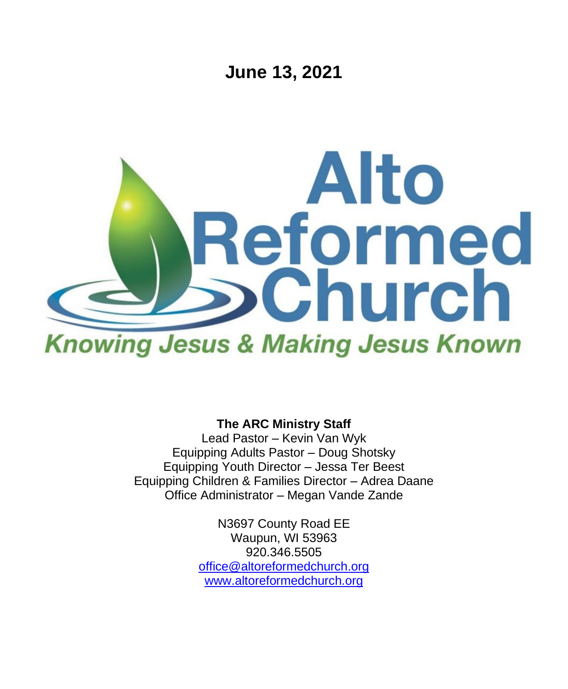**June 13, 2021**



**The ARC Ministry Staff**

Lead Pastor – Kevin Van Wyk Equipping Adults Pastor – Doug Shotsky Equipping Youth Director – Jessa Ter Beest Equipping Children & Families Director – Adrea Daane Office Administrator – Megan Vande Zande

> N3697 County Road EE Waupun, WI 53963 920.346.5505 [office@altoreformedchurch.org](mailto:office@altoreformedchurch.org) [www.altoreformedchurch.org](http://www.altoreformedchurch.org/)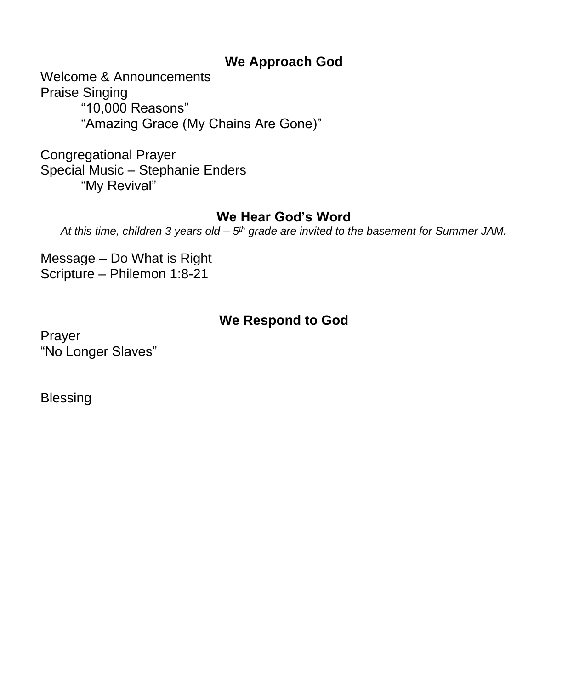### **We Approach God**

Welcome & Announcements Praise Singing "10,000 Reasons" "Amazing Grace (My Chains Are Gone)"

Congregational Prayer Special Music – Stephanie Enders "My Revival"

### **We Hear God's Word**

At this time, children 3 years old – 5<sup>th</sup> grade are invited to the basement for Summer JAM.

Message – Do What is Right Scripture – Philemon 1:8-21

# **We Respond to God**

Prayer "No Longer Slaves"

Blessing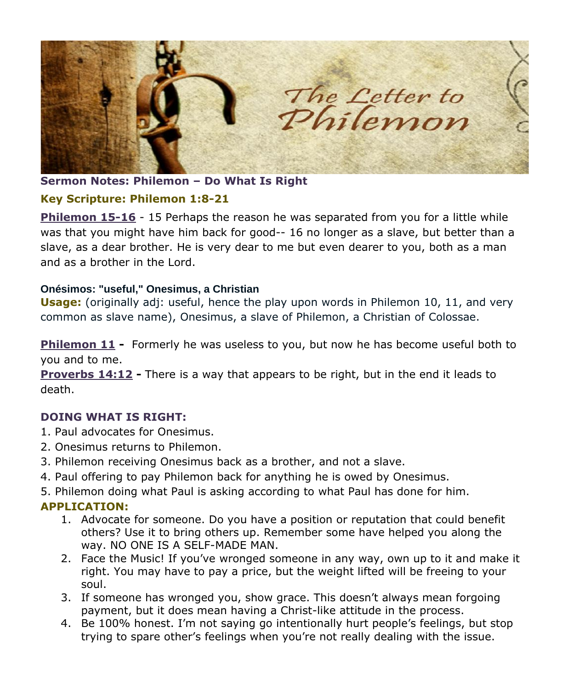

**Sermon Notes: Philemon – Do What Is Right**

#### **Key Scripture: Philemon 1:8-21**

**Philemon 15-16** - 15 Perhaps the reason he was separated from you for a little while was that you might have him back for good-- 16 no longer as a slave, but better than a slave, as a dear brother. He is very dear to me but even dearer to you, both as a man and as a brother in the Lord.

#### **Onésimos: "useful," Onesimus, a Christian**

**Usage:** (originally adj: useful, hence the play upon words in Philemon 10, 11, and very common as slave name), Onesimus, a slave of Philemon, a Christian of Colossae.

**Philemon 11 -** Formerly he was useless to you, but now he has become useful both to you and to me.

**Proverbs 14:12 -** There is a way that appears to be right, but in the end it leads to death.

#### **DOING WHAT IS RIGHT:**

- 1. Paul advocates for Onesimus.
- 2. Onesimus returns to Philemon.
- 3. Philemon receiving Onesimus back as a brother, and not a slave.
- 4. Paul offering to pay Philemon back for anything he is owed by Onesimus.
- 5. Philemon doing what Paul is asking according to what Paul has done for him.

#### **APPLICATION:**

- 1. Advocate for someone. Do you have a position or reputation that could benefit others? Use it to bring others up. Remember some have helped you along the way. NO ONE IS A SELF-MADE MAN.
- 2. Face the Music! If you've wronged someone in any way, own up to it and make it right. You may have to pay a price, but the weight lifted will be freeing to your soul.
- 3. If someone has wronged you, show grace. This doesn't always mean forgoing payment, but it does mean having a Christ-like attitude in the process.
- 4. Be 100% honest. I'm not saying go intentionally hurt people's feelings, but stop trying to spare other's feelings when you're not really dealing with the issue.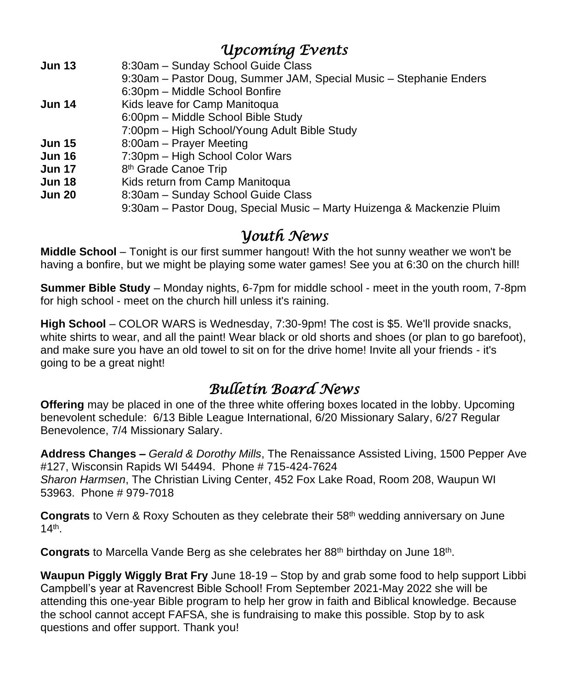# *Upcoming Events*

| <b>Jun 13</b> | 8:30am - Sunday School Guide Class                                     |
|---------------|------------------------------------------------------------------------|
|               | 9:30am – Pastor Doug, Summer JAM, Special Music – Stephanie Enders     |
|               | 6:30pm - Middle School Bonfire                                         |
| <b>Jun 14</b> | Kids leave for Camp Manitoqua                                          |
|               | 6:00pm - Middle School Bible Study                                     |
|               | 7:00pm - High School/Young Adult Bible Study                           |
| <b>Jun 15</b> | 8:00am - Prayer Meeting                                                |
| <b>Jun 16</b> | 7:30pm - High School Color Wars                                        |
| <b>Jun 17</b> | 8 <sup>th</sup> Grade Canoe Trip                                       |
| <b>Jun 18</b> | Kids return from Camp Manitoqua                                        |
| <b>Jun 20</b> | 8:30am - Sunday School Guide Class                                     |
|               | 9:30am – Pastor Doug, Special Music – Marty Huizenga & Mackenzie Pluim |
|               |                                                                        |

# *Youth News*

**Middle School** – Tonight is our first summer hangout! With the hot sunny weather we won't be having a bonfire, but we might be playing some water games! See you at 6:30 on the church hill!

**Summer Bible Study** – Monday nights, 6-7pm for middle school - meet in the youth room, 7-8pm for high school - meet on the church hill unless it's raining.

**High School** – COLOR WARS is Wednesday, 7:30-9pm! The cost is \$5. We'll provide snacks, white shirts to wear, and all the paint! Wear black or old shorts and shoes (or plan to go barefoot), and make sure you have an old towel to sit on for the drive home! Invite all your friends - it's going to be a great night!

# *Bulletin Board News*

**Offering** may be placed in one of the three white offering boxes located in the lobby. Upcoming benevolent schedule: 6/13 Bible League International, 6/20 Missionary Salary, 6/27 Regular Benevolence, 7/4 Missionary Salary.

**Address Changes –** *Gerald & Dorothy Mills*, The Renaissance Assisted Living, 1500 Pepper Ave #127, Wisconsin Rapids WI 54494. Phone # 715-424-7624 *Sharon Harmsen*, The Christian Living Center, 452 Fox Lake Road, Room 208, Waupun WI 53963. Phone # 979-7018

**Congrats** to Vern & Roxy Schouten as they celebrate their 58th wedding anniversary on June 14th .

Congrats to Marcella Vande Berg as she celebrates her 88<sup>th</sup> birthday on June 18<sup>th</sup>.

**Waupun Piggly Wiggly Brat Fry** June 18-19 – Stop by and grab some food to help support Libbi Campbell's year at Ravencrest Bible School! From September 2021-May 2022 she will be attending this one-year Bible program to help her grow in faith and Biblical knowledge. Because the school cannot accept FAFSA, she is fundraising to make this possible. Stop by to ask questions and offer support. Thank you!